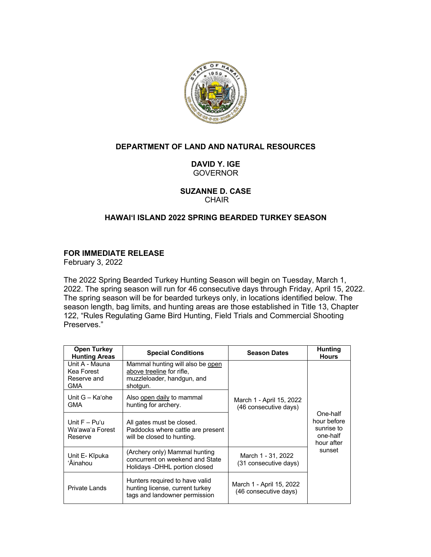

# **DEPARTMENT OF LAND AND NATURAL RESOURCES**

## **DAVID Y. IGE** GOVERNOR

**SUZANNE D. CASE** CHAIR

# **HAWAIʻI ISLAND 2022 SPRING BEARDED TURKEY SEASON**

### **FOR IMMEDIATE RELEASE**

February 3, 2022

The 2022 Spring Bearded Turkey Hunting Season will begin on Tuesday, March 1, 2022. The spring season will run for 46 consecutive days through Friday, April 15, 2022. The spring season will be for bearded turkeys only, in locations identified below. The season length, bag limits, and hunting areas are those established in Title 13, Chapter 122, "Rules Regulating Game Bird Hunting, Field Trials and Commercial Shooting Preserves."

| <b>Open Turkey</b><br><b>Hunting Areas</b>         | <b>Special Conditions</b>                                                                               | <b>Season Dates</b>                               | Hunting<br><b>Hours</b>                                         |
|----------------------------------------------------|---------------------------------------------------------------------------------------------------------|---------------------------------------------------|-----------------------------------------------------------------|
| Unit A - Mauna<br>Kea Forest<br>Reserve and<br>GMA | Mammal hunting will also be open<br>above treeline for rifle.<br>muzzleloader, handgun, and<br>shotgun. |                                                   |                                                                 |
| Unit G - Ka'ohe<br>GMA                             | Also open daily to mammal<br>hunting for archery.                                                       | March 1 - April 15, 2022<br>(46 consecutive days) |                                                                 |
| Unit $F - Pu'u$<br>Wa'awa'a Forest<br>Reserve      | All gates must be closed.<br>Paddocks where cattle are present<br>will be closed to hunting.            |                                                   | One-half<br>hour before<br>sunrise to<br>one-half<br>hour after |
| Unit E- Kīpuka<br>'Āinahou                         | (Archery only) Mammal hunting<br>concurrent on weekend and State<br>Holidays -DHHL portion closed       | March 1 - 31, 2022<br>(31 consecutive days)       | sunset                                                          |
| Private Lands                                      | Hunters required to have valid<br>hunting license, current turkey<br>tags and landowner permission      | March 1 - April 15, 2022<br>(46 consecutive days) |                                                                 |